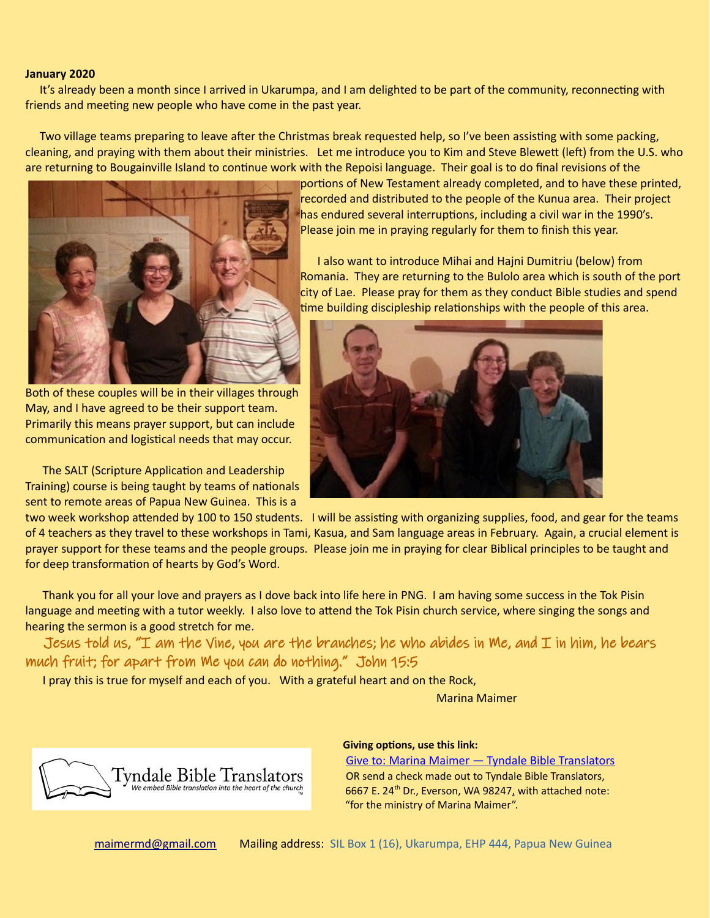## **January 2020**

 It's already been a month since I arrived in Ukarumpa, and I am delighted to be part of the community, reconnecting with friends and meeting new people who have come in the past year.

 Two village teams preparing to leave after the Christmas break requested help, so I've been assisting with some packing, cleaning, and praying with them about their ministries. Let me introduce you to Kim and Steve Blewett (left) from the U.S. who are returning to Bougainville Island to continue work with the Repoisi language. Their goal is to do final revisions of the



Both of these couples will be in their villages through May, and I have agreed to be their support team. Primarily this means prayer support, but can include communication and logistical needs that may occur.

 The SALT (Scripture Application and Leadership Training) course is being taught by teams of nationals sent to remote areas of Papua New Guinea. This is a

portions of New Testament already completed, and to have these printed, recorded and distributed to the people of the Kunua area. Their project has endured several interruptions, including a civil war in the 1990's. Please join me in praying regularly for them to finish this year.

 I also want to introduce Mihai and Hajni Dumitriu (below) from Romania. They are returning to the Bulolo area which is south of the port city of Lae. Please pray for them as they conduct Bible studies and spend time building discipleship relationships with the people of this area.



two week workshop attended by 100 to 150 students. I will be assisting with organizing supplies, food, and gear for the teams of 4 teachers as they travel to these workshops in Tami, Kasua, and Sam language areas in February. Again, a crucial element is prayer support for these teams and the people groups. Please join me in praying for clear Biblical principles to be taught and for deep transformation of hearts by God's Word.

 Thank you for all your love and prayers as I dove back into life here in PNG. I am having some success in the Tok Pisin language and meeting with a tutor weekly. I also love to attend the Tok Pisin church service, where singing the songs and hearing the sermon is a good stretch for me.

Jesus told us, "I am the Vine, you are the branches; he who abides in Me, and I in him, he bears much fruit; for apart from Me you can do nothing." John 15:5

I pray this is true for myself and each of you. With a grateful heart and on the Rock,

Marina Maimer



## **Giving options, use this link:**

 [Give to: Marina Maimer — Tyndale Bible Translators](https://tyndalebibletranslators.org/give/marina-maimer/) OR send a check made out to Tyndale Bible Translators, 6667 E. 24<sup>th</sup> Dr., Everson, WA 98247, with attached note: "for the ministry of Marina Maimer".